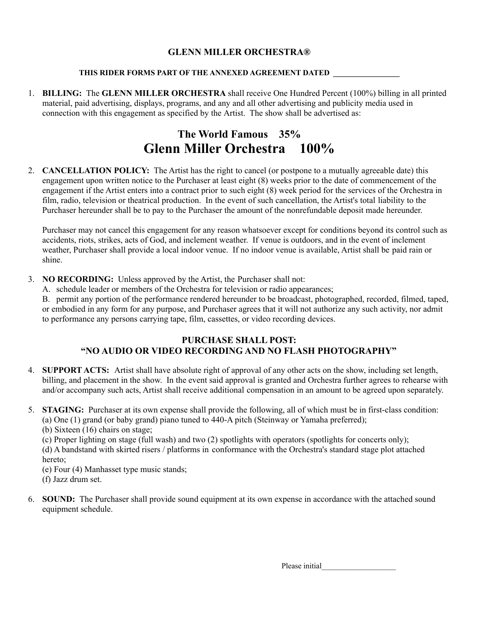### **GLENN MILLER ORCHESTRA®**

#### **THIS RIDER FORMS PART OF THE ANNEXED AGREEMENT DATED \_\_\_\_\_\_\_\_\_\_\_\_\_\_\_\_\_**

1. **BILLING:** The **GLENN MILLER ORCHESTRA** shall receive One Hundred Percent (100%) billing in all printed material, paid advertising, displays, programs, and any and all other advertising and publicity media used in connection with this engagement as specified by the Artist. The show shall be advertised as:

### **The World Famous 35% Glenn Miller Orchestra 100%**

2. **CANCELLATION POLICY:** The Artist has the right to cancel (or postpone to a mutually agreeable date) this engagement upon written notice to the Purchaser at least eight (8) weeks prior to the date of commencement of the engagement if the Artist enters into a contract prior to such eight (8) week period for the services of the Orchestra in film, radio, television or theatrical production. In the event of such cancellation, the Artist's total liability to the Purchaser hereunder shall be to pay to the Purchaser the amount of the nonrefundable deposit made hereunder.

Purchaser may not cancel this engagement for any reason whatsoever except for conditions beyond its control such as accidents, riots, strikes, acts of God, and inclement weather. If venue is outdoors, and in the event of inclement weather, Purchaser shall provide a local indoor venue. If no indoor venue is available, Artist shall be paid rain or shine.

- 3. **NO RECORDING:** Unless approved by the Artist, the Purchaser shall not:
	- A. schedule leader or members of the Orchestra for television or radio appearances;

B. permit any portion of the performance rendered hereunder to be broadcast, photographed, recorded, filmed, taped, or embodied in any form for any purpose, and Purchaser agrees that it will not authorize any such activity, nor admit to performance any persons carrying tape, film, cassettes, or video recording devices.

### **PURCHASE SHALL POST: "NO AUDIO OR VIDEO RECORDING AND NO FLASH PHOTOGRAPHY"**

- 4. **SUPPORT ACTS:** Artist shall have absolute right of approval of any other acts on the show, including set length, billing, and placement in the show. In the event said approval is granted and Orchestra further agrees to rehearse with and/or accompany such acts, Artist shall receive additional compensation in an amount to be agreed upon separately.
- 5. **STAGING:** Purchaser at its own expense shall provide the following, all of which must be in first-class condition: (a) One (1) grand (or baby grand) piano tuned to 440-A pitch (Steinway or Yamaha preferred);

(b) Sixteen (16) chairs on stage;

(c) Proper lighting on stage (full wash) and two (2) spotlights with operators (spotlights for concerts only);

(d) A bandstand with skirted risers / platforms in conformance with the Orchestra's standard stage plot attached hereto;

(e) Four (4) Manhasset type music stands;

- (f) Jazz drum set.
- 6. **SOUND:** The Purchaser shall provide sound equipment at its own expense in accordance with the attached sound equipment schedule.

Please initial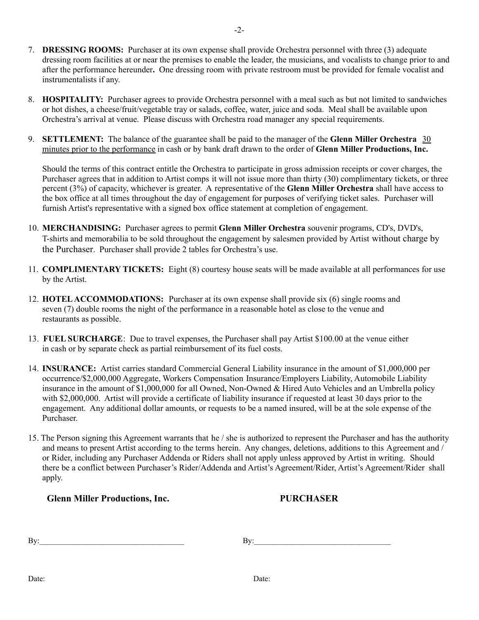- 7. **DRESSING ROOMS:** Purchaser at its own expense shall provide Orchestra personnel with three (3) adequate dressing room facilities at or near the premises to enable the leader, the musicians, and vocalists to change prior to and after the performance hereunder**.** One dressing room with private restroom must be provided for female vocalist and instrumentalists if any.
- 8. **HOSPITALITY:** Purchaser agrees to provide Orchestra personnel with a meal such as but not limited to sandwiches or hot dishes, a cheese/fruit/vegetable tray or salads, coffee, water, juice and soda. Meal shall be available upon Orchestra's arrival at venue. Please discuss with Orchestra road manager any special requirements.
- 9. **SETTLEMENT:** The balance of the guarantee shall be paid to the manager of the **Glenn Miller Orchestra** 30 minutes prior to the performance in cash or by bank draft drawn to the order of **Glenn Miller Productions, Inc.**

Should the terms of this contract entitle the Orchestra to participate in gross admission receipts or cover charges, the Purchaser agrees that in addition to Artist comps it will not issue more than thirty (30) complimentary tickets, or three percent (3%) of capacity, whichever is greater. A representative of the **Glenn Miller Orchestra** shall have access to the box office at all times throughout the day of engagement for purposes of verifying ticket sales. Purchaser will furnish Artist's representative with a signed box office statement at completion of engagement.

- 10. **MERCHANDISING:** Purchaser agrees to permit **Glenn Miller Orchestra** souvenir programs, CD's, DVD's, T-shirts and memorabilia to be sold throughout the engagement by salesmen provided by Artist without charge by the Purchaser. Purchaser shall provide 2 tables for Orchestra's use.
- 11. **COMPLIMENTARY TICKETS:** Eight (8) courtesy house seats will be made available at all performances for use by the Artist.
- 12. **HOTELACCOMMODATIONS:** Purchaser at its own expense shall provide six (6) single rooms and seven (7) double rooms the night of the performance in a reasonable hotel as close to the venue and restaurants as possible.
- 13. **FUEL SURCHARGE**: Due to travel expenses, the Purchaser shall pay Artist \$100.00 at the venue either in cash or by separate check as partial reimbursement of its fuel costs.
- 14. **INSURANCE:** Artist carries standard Commercial General Liability insurance in the amount of \$1,000,000 per occurrence/\$2,000,000 Aggregate, Workers Compensation Insurance/Employers Liability, Automobile Liability insurance in the amount of \$1,000,000 for all Owned, Non-Owned & Hired Auto Vehicles and an Umbrella policy with \$2,000,000. Artist will provide a certificate of liability insurance if requested at least 30 days prior to the engagement. Any additional dollar amounts, or requests to be a named insured, will be at the sole expense of the Purchaser.
- 15. The Person signing this Agreement warrants that he / she is authorized to represent the Purchaser and has the authority and means to present Artist according to the terms herein. Any changes, deletions, additions to this Agreement and / or Rider, including any Purchaser Addenda or Riders shall not apply unless approved by Artist in writing. Should there be a conflict between Purchaser's Rider/Addenda and Artist's Agreement/Rider, Artist's Agreement/Rider shall apply.

**Glenn Miller Productions, Inc. PURCHASER**

 $\mathbf{B}$ y:  $\qquad \qquad \qquad \mathbf{B}$ y: